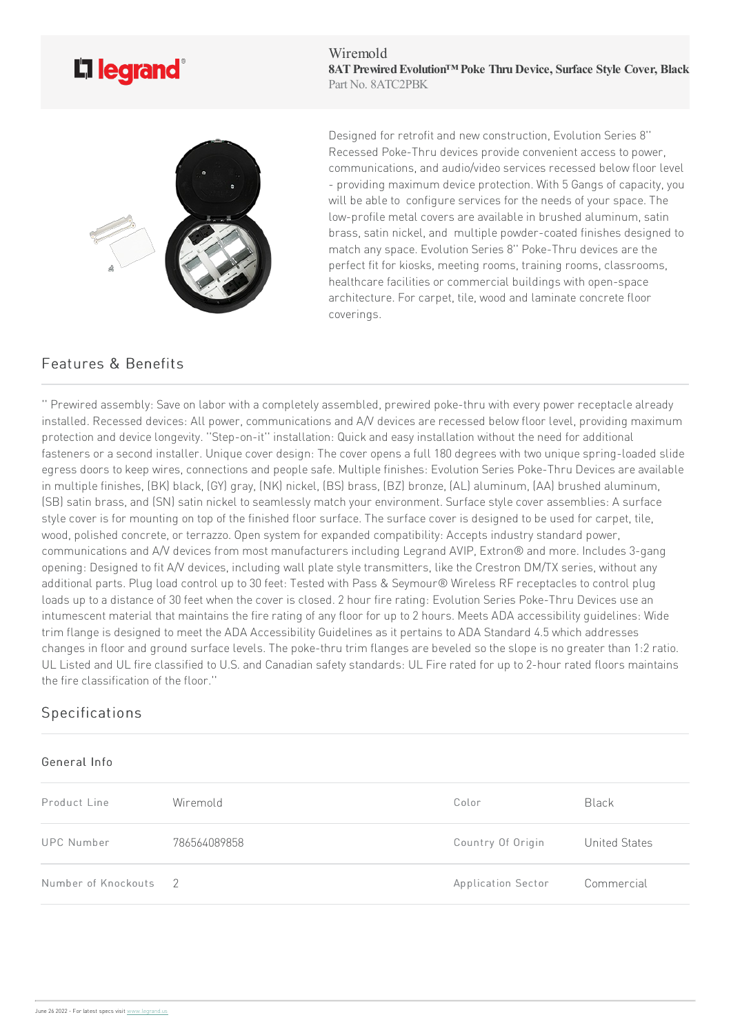

Wiremold **8ATPrewiredEvolution™ Poke ThruDevice, Surface Style Cover, Black** Part No. 8ATC2PBK



Designed for retrofit and new construction, Evolution Series 8" Recessed Poke-Thru devices provide convenient access to power. communications, and audio/video services recessed below floor level - providing maximum device protection. With 5 Gangs of capacity, you will be able to configure services for the needs of your space. The low-profile metal covers are available in brushed aluminum, satin brass, satin nickel, and multiple powder-coated finishes designed to match any space. Evolution Series 8" Poke-Thru devices are the perfect fit for kiosks, meeting rooms, training rooms, classrooms, healthcare facilities or commercial buildings with open-space architecture. For carpet, tile, wood and laminate concrete floor coverings.

## Features & Benefits

'' Prewired assembly: Save on labor with a completely assembled, prewired poke-thru with every power receptacle already installed. Recessed devices: All power, communications and A/V devices are recessed below floor level, providing maximum protection and device longevity. "Step-on-it" installation: Quick and easy installation without the need for additional fasteners or a second installer. Unique cover design: The cover opens a full 180 degrees with two unique spring-loaded slide egress doors to keep wires, connections and people safe. Multiple finishes: Evolution Series Poke-Thru Devices are available in multiple finishes, (BK) black, (GY) gray, (NK) nickel, (BS) brass, (BZ) bronze, (AL) aluminum, (AA) brushed aluminum, (SB) satin brass, and (SN) satin nickel to seamlessly match your environment. Surface style cover assemblies: A surface style cover is for mounting on top of the finished floor surface. The surface cover is designed to be used for carpet, tile, wood, polished concrete, or terrazzo. Open system for expanded compatibility: Accepts industry standard power, communications and A/V devices from most manufacturers including Legrand AVIP, Extron® and more. Includes 3-gang opening: Designed to fit A/V devices, including wall plate style transmitters, like the Crestron DM/TX series, without any additional parts. Plug load control up to 30 feet: Tested with Pass & Seymour® Wireless RF receptacles to control plug loads up to a distance of 30 feet when the cover is closed. 2 hour fire rating: Evolution Series Poke-Thru Devices use an intumescent material that maintains the fire rating of any floor for up to 2 hours. Meets ADA accessibility guidelines: Wide trim flange is designed to meet the ADA Accessibility Guidelines as it pertains to ADA Standard 4.5 which addresses changes in floor and ground surface levels. The poke-thru trim flanges are beveled so the slope is no greater than 1:2 ratio. UL Listed and UL fire classified to U.S. and Canadian safety standards: UL Fire rated for up to 2-hour rated floors maintains the fire classification of the floor."

## **Specifications**

## General Info

| Product Line        | Wiremold       | Color                     | <b>Black</b>  |
|---------------------|----------------|---------------------------|---------------|
| UPC Number          | 786564089858   | Country Of Origin         | United States |
| Number of Knockouts | $\overline{2}$ | <b>Application Sector</b> | Commercial    |